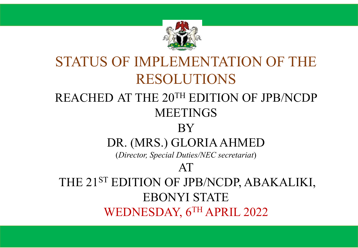

#### STATUS OF IMPLEMENTATION OF THE RESOLUTIONS REACHED AT THE 20TH EDITION OF JPB/NCDP MEETINGS BY DR. (MRS.) GLORIA AHMED (*Director, Special Duties/NEC secretariat*) AT THE 21<sup>ST</sup> EDITION OF JPB/NCDP, ABAKALIKI, EBONYI STATE WEDNESDAY, 6TH APRIL 2022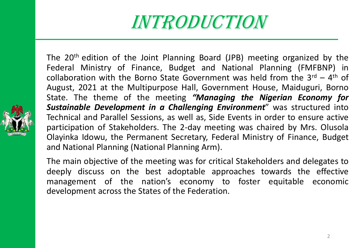# INTRODUCTION

The 20th edition of the Joint Planning Board (JPB) meeting organized by the Federal Ministry of Finance, Budget and National Planning (FMFBNP) in collaboration with the Borno State Government was held from the  $3^{rd} - 4^{th}$  of August, 2021 at the Multipurpose Hall, Government House, Maiduguri, Borno State. The theme of the meeting *"Managing the Nigerian Economy for Sustainable Development in a Challenging Environment*" was structured into Technical and Parallel Sessions, as well as, Side Events in order to ensure active participation of Stakeholders. The 2-day meeting was chaired by Mrs. Olusola Olayinka Idowu, the Permanent Secretary, Federal Ministry of Finance, Budget and National Planning (National Planning Arm).

The main objective of the meeting was for critical Stakeholders and delegates to deeply discuss on the best adoptable approaches towards the effective management of the nation's economy to foster equitable economic development across the States of the Federation.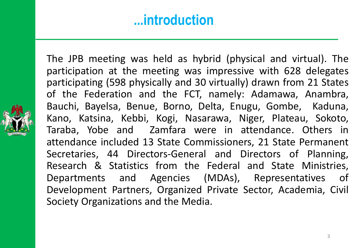#### **...introduction**

The JPB meeting was held as hybrid (physical and virtual). The participation at the meeting was impressive with 628 delegates participating (598 physically and 30 virtually) drawn from 21 States of the Federation and the FCT, namely: Adamawa, Anambra, Bauchi, Bayelsa, Benue, Borno, Delta, Enugu, Gombe, Kaduna, Kano, Katsina, Kebbi, Kogi, Nasarawa, Niger, Plateau, Sokoto, Taraba, Yobe and Zamfara were in attendance. Others in attendance included 13 State Commissioners, 21 State Permanent Secretaries, 44 Directors-General and Directors of Planning, Research & Statistics from the Federal and State Ministries, Departments and Agencies (MDAs), Representatives of Development Partners, Organized Private Sector, Academia, Civil Society Organizations and the Media.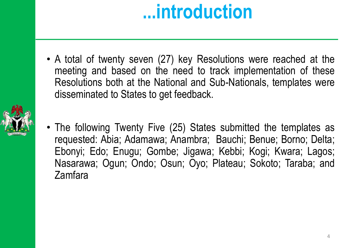# **...introduction**

• A total of twenty seven (27) key Resolutions were reached at the meeting and based on the need to track implementation of these Resolutions both at the National and Sub-Nationals, templates were disseminated to States to get feedback.



• The following Twenty Five (25) States submitted the templates as requested: Abia; Adamawa; Anambra; Bauchi; Benue; Borno; Delta; Ebonyi; Edo; Enugu; Gombe; Jigawa; Kebbi; Kogi; Kwara; Lagos; Nasarawa; Ogun; Ondo; Osun; Oyo; Plateau; Sokoto; Taraba; and Zamfara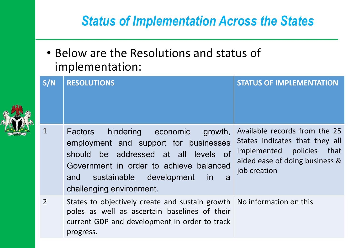• Below are the Resolutions and status of implementation:

| S/N            | <b>RESOLUTIONS</b>                                                                                                                                                                                                                                            | <b>STATUS OF IMPLEMENTATION</b>                                                                                                                      |
|----------------|---------------------------------------------------------------------------------------------------------------------------------------------------------------------------------------------------------------------------------------------------------------|------------------------------------------------------------------------------------------------------------------------------------------------------|
| $\mathbf 1$    | hindering economic<br><b>Factors</b><br>growth,<br>employment and support for businesses<br>should be addressed at all levels of<br>Government in order to achieve balanced<br>sustainable development<br>and<br><i>in</i><br>a a<br>challenging environment. | Available records from the 25<br>States indicates that they all<br>implemented<br>policies<br>that<br>aided ease of doing business &<br>job creation |
| $\overline{2}$ | States to objectively create and sustain growth   No information on this<br>poles as well as ascertain baselines of their<br>current GDP and development in order to track<br>progress.                                                                       |                                                                                                                                                      |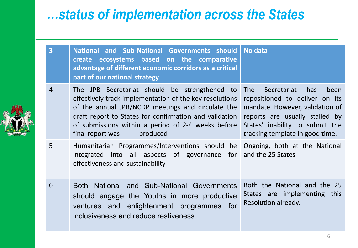| $\overline{3}$ | National and Sub-National Governments should   No data<br>create ecosystems based on the comparative<br>advantage of different economic corridors as a critical<br>part of our national strategy                                                                                                              |                                                                                                                                                                                                                       |
|----------------|---------------------------------------------------------------------------------------------------------------------------------------------------------------------------------------------------------------------------------------------------------------------------------------------------------------|-----------------------------------------------------------------------------------------------------------------------------------------------------------------------------------------------------------------------|
| $\overline{4}$ | The JPB Secretariat should be strengthened to<br>effectively track implementation of the key resolutions<br>of the annual JPB/NCDP meetings and circulate the<br>draft report to States for confirmation and validation<br>of submissions within a period of 2-4 weeks before<br>final report was<br>produced | Secretariat<br>has<br>been<br><b>The</b><br>repositioned to deliver on its<br>mandate. However, validation of<br>reports are usually stalled by<br>States' inability to submit the<br>tracking template in good time. |
| 5              | Humanitarian Programmes/Interventions should be Ongoing, both at the National<br>integrated into all aspects of governance for<br>effectiveness and sustainability                                                                                                                                            | and the 25 States                                                                                                                                                                                                     |
| 6              | Both National and Sub-National Governments<br>should engage the Youths in more productive<br>ventures and enlightenment programmes for<br>inclusiveness and reduce restiveness                                                                                                                                | Both the National and the 25<br>States are implementing this<br>Resolution already.                                                                                                                                   |

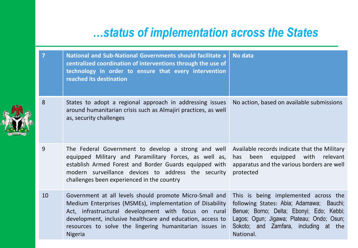| 7  | National and Sub-National Governments should facilitate a<br>centralized coordination of interventions through the use of<br>technology in order to ensure that every intervention<br>reached its destination                                                                                                          | <b>No data</b>                                                                                                                                                                                                                  |
|----|------------------------------------------------------------------------------------------------------------------------------------------------------------------------------------------------------------------------------------------------------------------------------------------------------------------------|---------------------------------------------------------------------------------------------------------------------------------------------------------------------------------------------------------------------------------|
| 8  | States to adopt a regional approach in addressing issues<br>around humanitarian crisis such as Almajiri practices, as well<br>as, security challenges                                                                                                                                                                  | No action, based on available submissions                                                                                                                                                                                       |
| 9  | The Federal Government to develop a strong and well<br>equipped Military and Paramilitary Forces, as well as,<br>establish Armed Forest and Border Guards equipped with<br>modern surveillance devices to address the security<br>challenges been experienced in the country                                           | Available records indicate that the Military<br>equipped with<br>relevant<br>been<br>has<br>apparatus and the various borders are well<br>protected                                                                             |
| 10 | Government at all levels should promote Micro-Small and<br>Medium Enterprises (MSMEs), implementation of Disability<br>Act, infrastructural development with focus on rural<br>development, inclusive healthcare and education, access to<br>resources to solve the lingering humanitarian issues in<br><b>Nigeria</b> | This is being implemented across the<br>following States: Abia; Adamawa; Bauchi;<br>Benue; Borno; Delta; Ebonyi; Edo; Kebbi;<br>Lagos; Ogun; Jigawa; Plateau; Ondo; Osun;<br>Sokoto; and Zamfara, including at the<br>National. |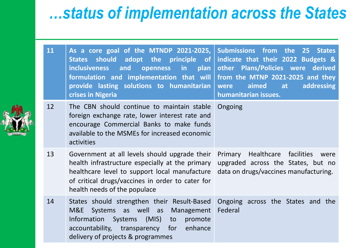| 11 | As a core goal of the MTNDP 2021-2025,<br>should adopt the principle of<br><b>States</b><br>openness in plan<br>and<br><b>inclusiveness</b><br>formulation and implementation that will<br>provide lasting solutions to humanitarian<br>crises in Nigeria | Submissions from the<br>25 States<br>indicate that their 2022 Budgets &<br>other Plans/Policies were derived<br>from the MTNP 2021-2025 and they<br>aimed<br>addressing<br>were<br>at<br>humanitarian issues. |
|----|-----------------------------------------------------------------------------------------------------------------------------------------------------------------------------------------------------------------------------------------------------------|---------------------------------------------------------------------------------------------------------------------------------------------------------------------------------------------------------------|
| 12 | The CBN should continue to maintain stable<br>foreign exchange rate, lower interest rate and<br>encourage Commercial Banks to make funds<br>available to the MSMEs for increased economic<br>activities                                                   | Ongoing                                                                                                                                                                                                       |
| 13 | Government at all levels should upgrade their<br>health infrastructure especially at the primary<br>healthcare level to support local manufacture<br>of critical drugs/vaccines in order to cater for<br>health needs of the populace                     | Healthcare<br>Primary<br>facilities<br>were<br>upgraded across the States, but no<br>data on drugs/vaccines manufacturing.                                                                                    |
| 14 | States should strengthen their Result-Based<br>M&E<br>Systems as well as<br>Management<br>Information<br>Systems (MIS)<br>to<br>promote<br>accountability, transparency for<br>enhance<br>delivery of projects & programmes                               | Ongoing across the States and the<br>Federal                                                                                                                                                                  |

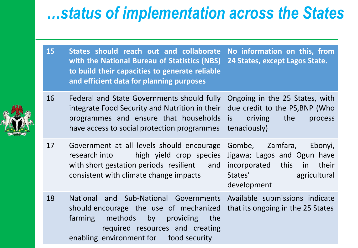| 15 | States should reach out and collaborate<br>with the National Bureau of Statistics (NBS)<br>to build their capacities to generate reliable<br>and efficient data for planning purposes                  | No information on this, from<br>24 States, except Lagos State.                                                                                                                                                                                                                                                                                                 |
|----|--------------------------------------------------------------------------------------------------------------------------------------------------------------------------------------------------------|----------------------------------------------------------------------------------------------------------------------------------------------------------------------------------------------------------------------------------------------------------------------------------------------------------------------------------------------------------------|
| 16 | Federal and State Governments should fully<br>integrate Food Security and Nutrition in their<br>programmes and ensure that households<br>have access to social protection programmes                   | Ongoing in the 25 States, with<br>due credit to the PS, BNP (Who<br>driving the<br>is<br>process<br>tenaciously)                                                                                                                                                                                                                                               |
| 17 | Government at all levels should encourage<br>high yield crop species<br>research into<br>with short gestation periods resilient<br>and<br>consistent with climate change impacts                       | Zamfara,<br>Gombe,<br>Ebonyi,<br>Jigawa; Lagos and Ogun have<br>incorporated this in<br>their<br>States' and the state of the state of the state of the state of the state of the state of the state of the state of the state of the state of the state of the state of the state of the state of the state of the state of th<br>agricultural<br>development |
| 18 | National and Sub-National Governments<br>should encourage the use of mechanized<br>farming methods by<br>providing<br>the<br>required resources and creating<br>enabling environment for food security | Available submissions indicate<br>that its ongoing in the 25 States                                                                                                                                                                                                                                                                                            |

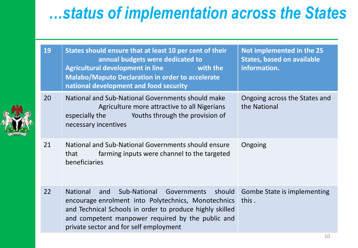|  | 19 | States should ensure that at least 10 per cent of their<br>annual budgets were dedicated to<br><b>Agricultural development in line</b><br>with the<br><b>Malabo/Maputo Declaration in order to accelerate</b><br>national development and food security                                                                                                                                        | Not implemented in the 25<br><b>States, based on available</b><br>information. |
|--|----|------------------------------------------------------------------------------------------------------------------------------------------------------------------------------------------------------------------------------------------------------------------------------------------------------------------------------------------------------------------------------------------------|--------------------------------------------------------------------------------|
|  | 20 | National and Sub-National Governments should make<br>Agriculture more attractive to all Nigerians<br>Youths through the provision of<br>especially the same of the set of the set of the set of the set of the set of the set of the set of the set of the set of the set of the set of the set of the set of the set of the set of the set of the set of the set of t<br>necessary incentives | Ongoing across the States and<br>the National                                  |
|  | 21 | National and Sub-National Governments should ensure<br>farming inputs were channel to the targeted<br>that<br>beneficiaries                                                                                                                                                                                                                                                                    | Ongoing                                                                        |
|  | 22 | <b>National</b><br>Sub-National Governments<br>should<br>and<br>encourage enrolment into Polytechnics, Monotechnics<br>and Technical Schools in order to produce highly skilled<br>and competent manpower required by the public and<br>private sector and for self employment                                                                                                                 | Gombe State is implementing<br>this.                                           |

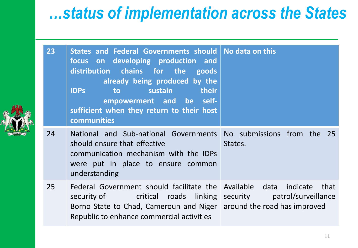| 23 | States and Federal Governments should   No data on this<br>focus on developing production and<br>distribution chains for the goods<br>already being produced by the<br><b>IDPs</b><br>their<br><b>sustain sustain</b><br>to<br>empowerment and be self-<br>sufficient when they return to their host<br>communities |                     |
|----|---------------------------------------------------------------------------------------------------------------------------------------------------------------------------------------------------------------------------------------------------------------------------------------------------------------------|---------------------|
| 24 | National and Sub-national Governments No submissions from the 25<br>should ensure that effective<br>communication mechanism with the IDPs<br>were put in place to ensure common<br>understanding                                                                                                                    | States.             |
| 25 | Federal Government should facilitate the Available data indicate that<br>security of The Critical roads linking security<br>Borno State to Chad, Cameroun and Niger around the road has improved<br>Republic to enhance commercial activities                                                                       | patrol/surveillance |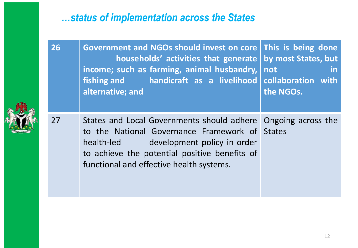**26 Government and NGOs should invest on core This is being done households' activities that generate income; such as farming, animal husbandry, fishing and handicraft as a livelihood alternative; and by most States, but not in collaboration with the NGOs.**



27 States and Local Governments should adhere Ongoing across the to the National Governance Framework of States health-led development policy in order to achieve the potential positive benefits of functional and effective health systems.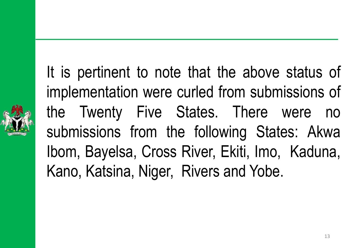It is pertinent to note that the above status of implementation were curled from submissions of the Twenty Five States. There were no submissions from the following States: Akwa Ibom, Bayelsa, Cross River, Ekiti, Imo, Kaduna, Kano, Katsina, Niger, Rivers and Yobe.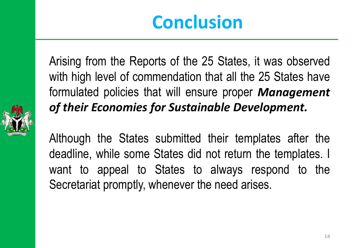# **Conclusion**

Arising from the Reports of the 25 States, it was observed with high level of commendation that all the 25 States have formulated policies that will ensure proper *Management of their Economies for Sustainable Development.*



Although the States submitted their templates after the deadline, while some States did not return the templates. I want to appeal to States to always respond to the Secretariat promptly, whenever the need arises.